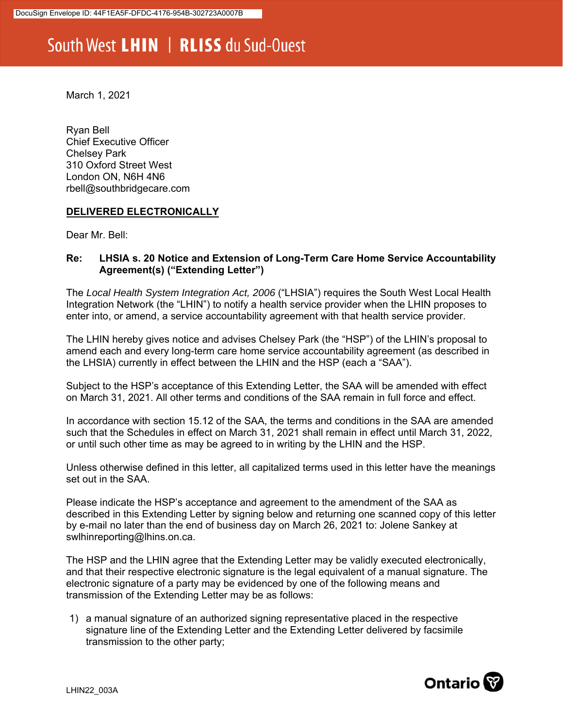## South West LHIN | RLISS du Sud-Ouest

March 1, 2021

Ryan Bell Chief Executive Officer Chelsey Park 310 Oxford Street West London ON, N6H 4N6 rbell@southbridgecare.com

## **DELIVERED ELECTRONICALLY**

Dear Mr. Bell:

## **Re: LHSIA s. 20 Notice and Extension of Long-Term Care Home Service Accountability Agreement(s) ("Extending Letter")**

The *Local Health System Integration Act, 2006* ("LHSIA") requires the South West Local Health Integration Network (the "LHIN") to notify a health service provider when the LHIN proposes to enter into, or amend, a service accountability agreement with that health service provider.

The LHIN hereby gives notice and advises Chelsey Park (the "HSP") of the LHIN's proposal to amend each and every long-term care home service accountability agreement (as described in the LHSIA) currently in effect between the LHIN and the HSP (each a "SAA").

Subject to the HSP's acceptance of this Extending Letter, the SAA will be amended with effect on March 31, 2021. All other terms and conditions of the SAA remain in full force and effect.

In accordance with section 15.12 of the SAA, the terms and conditions in the SAA are amended such that the Schedules in effect on March 31, 2021 shall remain in effect until March 31, 2022, or until such other time as may be agreed to in writing by the LHIN and the HSP.

Unless otherwise defined in this letter, all capitalized terms used in this letter have the meanings set out in the SAA.

Please indicate the HSP's acceptance and agreement to the amendment of the SAA as described in this Extending Letter by signing below and returning one scanned copy of this letter by e-mail no later than the end of business day on March 26, 2021 to: Jolene Sankey at swlhinreporting@lhins.on.ca.

The HSP and the LHIN agree that the Extending Letter may be validly executed electronically, and that their respective electronic signature is the legal equivalent of a manual signature. The electronic signature of a party may be evidenced by one of the following means and transmission of the Extending Letter may be as follows:

1) a manual signature of an authorized signing representative placed in the respective signature line of the Extending Letter and the Extending Letter delivered by facsimile transmission to the other party;

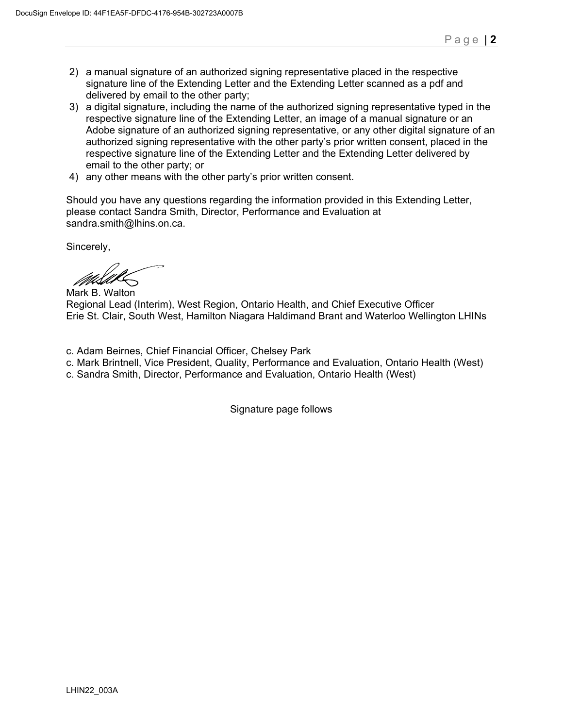- 2) a manual signature of an authorized signing representative placed in the respective signature line of the Extending Letter and the Extending Letter scanned as a pdf and delivered by email to the other party;
- 3) a digital signature, including the name of the authorized signing representative typed in the respective signature line of the Extending Letter, an image of a manual signature or an Adobe signature of an authorized signing representative, or any other digital signature of an authorized signing representative with the other party's prior written consent, placed in the respective signature line of the Extending Letter and the Extending Letter delivered by email to the other party; or
- 4) any other means with the other party's prior written consent.

Should you have any questions regarding the information provided in this Extending Letter, please contact Sandra Smith, Director, Performance and Evaluation at sandra.smith@lhins.on.ca.

Sincerely,

Mark B. Walton

Regional Lead (Interim), West Region, Ontario Health, and Chief Executive Officer Erie St. Clair, South West, Hamilton Niagara Haldimand Brant and Waterloo Wellington LHINs

- c. Adam Beirnes, Chief Financial Officer, Chelsey Park
- c. Mark Brintnell, Vice President, Quality, Performance and Evaluation, Ontario Health (West)
- c. Sandra Smith, Director, Performance and Evaluation, Ontario Health (West)

Signature page follows